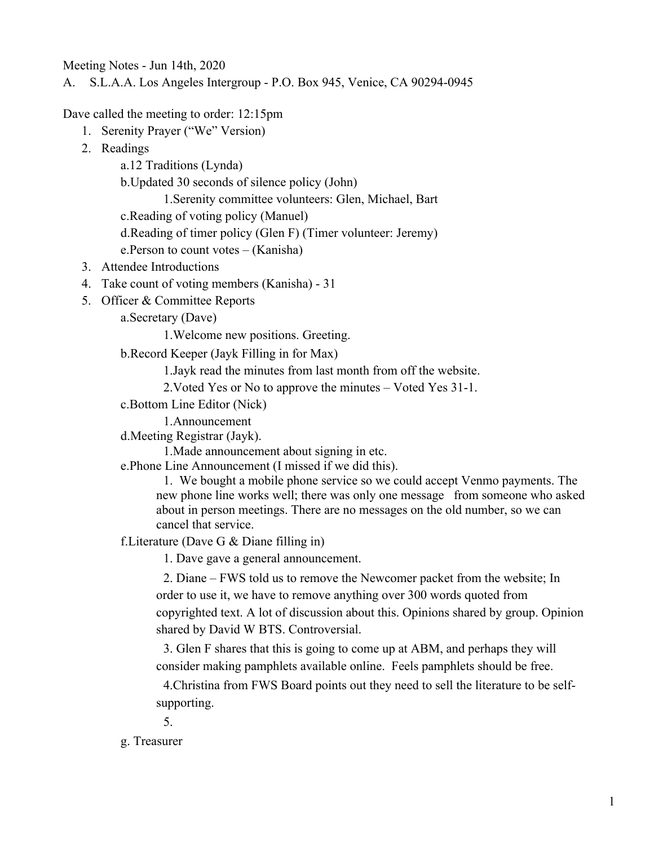Meeting Notes - Jun 14th, 2020

A. S.L.A.A. Los Angeles Intergroup - P.O. Box 945, Venice, CA 90294-0945

Dave called the meeting to order: 12:15pm

- 1. Serenity Prayer ("We" Version)
- 2. Readings

a.12 Traditions (Lynda)

b.Updated 30 seconds of silence policy (John)

1.Serenity committee volunteers: Glen, Michael, Bart

c.Reading of voting policy (Manuel)

d.Reading of timer policy (Glen F) (Timer volunteer: Jeremy)

e.Person to count votes – (Kanisha)

- 3. Attendee Introductions
- 4. Take count of voting members (Kanisha) 31
- 5. Officer & Committee Reports

a.Secretary (Dave)

1.Welcome new positions. Greeting.

b.Record Keeper (Jayk Filling in for Max)

1.Jayk read the minutes from last month from off the website.

2.Voted Yes or No to approve the minutes – Voted Yes 31-1.

c.Bottom Line Editor (Nick)

1.Announcement

d.Meeting Registrar (Jayk).

1.Made announcement about signing in etc.

e.Phone Line Announcement (I missed if we did this).

1. We bought a mobile phone service so we could accept Venmo payments. The new phone line works well; there was only one message from someone who asked about in person meetings. There are no messages on the old number, so we can cancel that service.

f.Literature (Dave G & Diane filling in)

1. Dave gave a general announcement.

2. Diane – FWS told us to remove the Newcomer packet from the website; In order to use it, we have to remove anything over 300 words quoted from copyrighted text. A lot of discussion about this. Opinions shared by group. Opinion shared by David W BTS. Controversial.

3. Glen F shares that this is going to come up at ABM, and perhaps they will consider making pamphlets available online. Feels pamphlets should be free.

4.Christina from FWS Board points out they need to sell the literature to be selfsupporting.

5.

g. Treasurer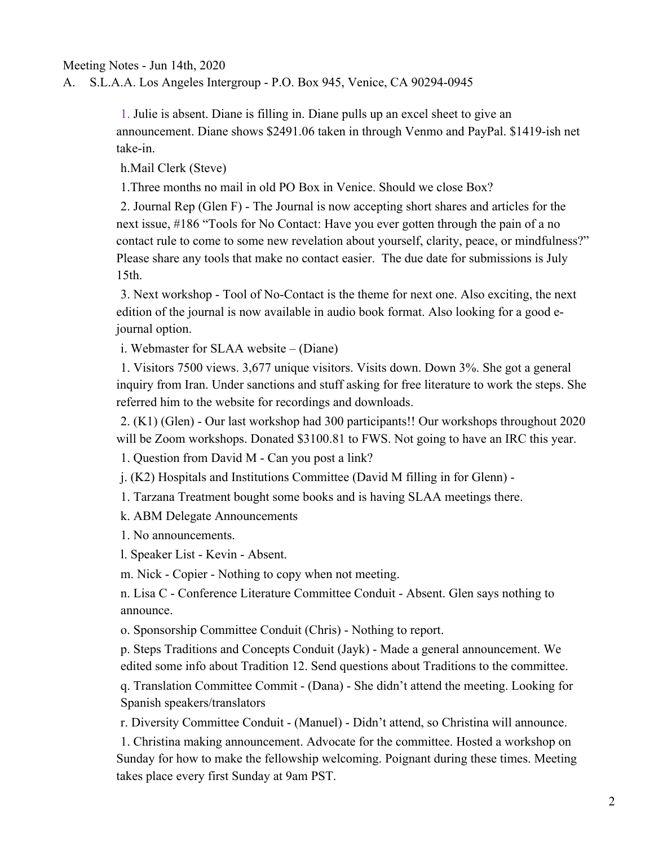## Meeting Notes - Jun 14th, 2020

A. S.L.A.A. Los Angeles Intergroup - P.O. Box 945, Venice, CA 90294-0945

1. Julie is absent. Diane is filling in. Diane pulls up an excel sheet to give an announcement. Diane shows \$2491.06 taken in through Venmo and PayPal. \$1419-ish net take-in.

h.Mail Clerk (Steve)

1.Three months no mail in old PO Box in Venice. Should we close Box?

2. Journal Rep (Glen F) - The Journal is now accepting short shares and articles for the next issue, #186 "Tools for No Contact: Have you ever gotten through the pain of a no contact rule to come to some new revelation about yourself, clarity, peace, or mindfulness?" Please share any tools that make no contact easier. The due date for submissions is July 15th.

3. Next workshop - Tool of No-Contact is the theme for next one. Also exciting, the next edition of the journal is now available in audio book format. Also looking for a good ejournal option.

i. Webmaster for SLAA website – (Diane)

1. Visitors 7500 views. 3,677 unique visitors. Visits down. Down 3%. She got a general inquiry from Iran. Under sanctions and stuff asking for free literature to work the steps. She referred him to the website for recordings and downloads.

2. (K1) (Glen) - Our last workshop had 300 participants!! Our workshops throughout 2020 will be Zoom workshops. Donated \$3100.81 to FWS. Not going to have an IRC this year.

1. Question from David M - Can you post a link?

j. (K2) Hospitals and Institutions Committee (David M filling in for Glenn) -

1. Tarzana Treatment bought some books and is having SLAA meetings there.

k. ABM Delegate Announcements

1. No announcements.

l. Speaker List - Kevin - Absent.

m. Nick - Copier - Nothing to copy when not meeting.

n. Lisa C - Conference Literature Committee Conduit - Absent. Glen says nothing to announce.

o. Sponsorship Committee Conduit (Chris) - Nothing to report.

p. Steps Traditions and Concepts Conduit (Jayk) - Made a general announcement. We edited some info about Tradition 12. Send questions about Traditions to the committee.

q. Translation Committee Commit - (Dana) - She didn't attend the meeting. Looking for Spanish speakers/translators

r. Diversity Committee Conduit - (Manuel) - Didn't attend, so Christina will announce.

1. Christina making announcement. Advocate for the committee. Hosted a workshop on Sunday for how to make the fellowship welcoming. Poignant during these times. Meeting takes place every first Sunday at 9am PST.